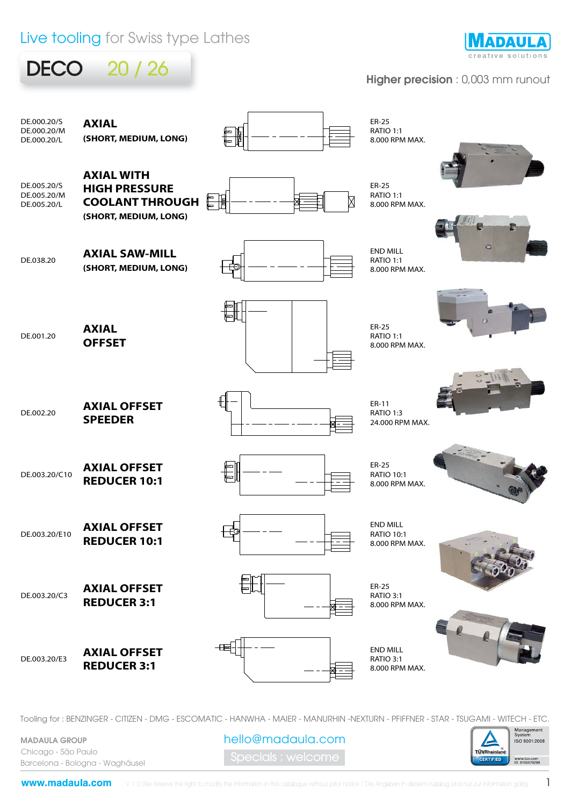

#### DECO 20 / 26 Higher precision : 0,003 mm runout DE.000.20/S ER-25 **AXIAL** DE.000.20/M RATIO 1:1 **(SHORT, MEDIUM, LONG)** DE.000.20/L 8.000 RPM MAX. **AXIAL WITH** DE.005.20/S ER-25 **HIGH PRESSURE** DE.005.20/M RATIO 1:1 **COOLANT THROUGH** DE.005.20/L 8.000 RPM MAX. **(SHORT, MEDIUM, LONG)** END MILL **AXIAL SAW-MILL** DE.038.20 RATIO 1:1 **(SHORT, MEDIUM, LONG)** 8.000 RPM MAX. ER-25 **AXIAL** DE.001.20 RATIO 1:1 **OFFSET** 8.000 RPM MAX. ╉ ER-11 **AXIAL OFFSET** DE.002.20 RATIO 1:3 **SPEEDER** 24.000 RPM MAX. ER-25 **AXIAL OFFSET** DE.003.20/C10 RATIO 10:1 **REDUCER 10:1** 8.000 RPM MAX. END MILL **AXIAL OFFSET** 仔 **REDUCER 10:1** DE.003.20/E10 RATIO 10:1 8.000 RPM MAX. ER-25 **AXIAL OFFSET** DE.003.20/C3 RATIO 3:1 **REDUCER 3:1** 8.000 RPM MAX. f≣i⊡ END MILL **AXIAL OFFSET** DE.003.20/E3<br>**REDUCER 3:1** RATIO 3:1 8.000 RPM MAX.

Tooling for : BENZINGER - CITIZEN - DMG - ESCOMATIC - HANWHA - MAIER - MANURHIN -NEXTURN - PFIFFNER - STAR - TSUGAMI - WITECH - ETC.

MADAULA GROUP Chicago - São Paulo Barcelona - Bologna - Waghäusel

pecials : welcome hello@madaula.com

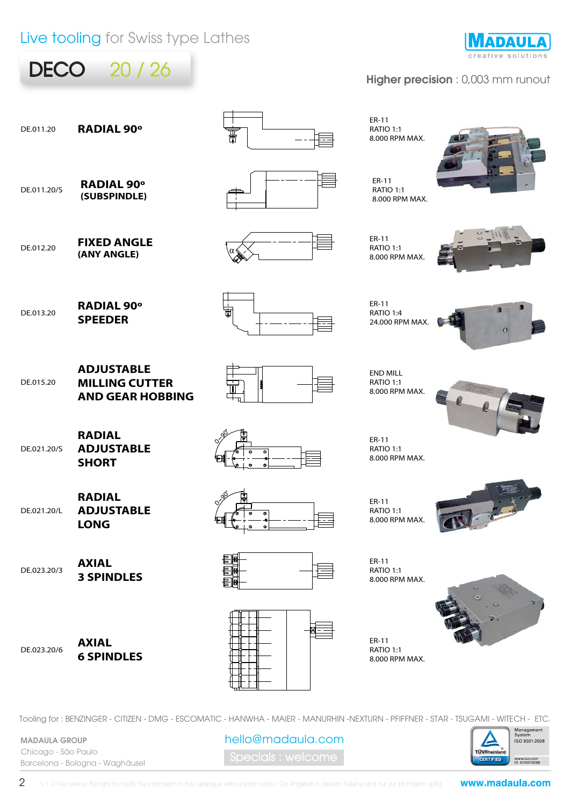# DECO 20 / 26

| <b>IMADAULA</b>    |
|--------------------|
| creative solutions |

#### Higher precision : 0,003 mm runout

| DE.011.20   | <b>RADIAL 90°</b>                   |          |
|-------------|-------------------------------------|----------|
| DE.011.20/S | <b>RADIAL 90°</b><br>(SUBSPINDLE)   |          |
| DE.012.20   | <b>FIXED ANGLE</b><br>(ANY ANGLE)   | $\alpha$ |
| DE.013.20   | <b>RADIAL 90°</b><br><b>SPEEDER</b> |          |

DE.015.20 **ADJUSTABLE MILLING CUTTER AND GEAR HOBBING**

DE.021.20/S **RADIAL ADJUSTABLE SHORT**

DE.021.20/L **RADIAL ADJUSTABLE LONG**

DE.023.20/3 **AXIAL**

**3 SPINDLES**

DE.023.20/6 **AXIAL 6 SPINDLES**





ER-11 RATIO 1:1 8.000 RPM MAX.

ER-11 RATIO 1:1 8.000 RPM MAX.

ER-11 RATIO 1:1 8.000 RPM MAX.



ER-11 RATIO 1:4 24.000 RPM MAX.



END MILL RATIO 1:1 8.000 RPM MAX.



ER-11 RATIO 1:1 8.000 RPM MAX.

ER-11 RATIO 1:1



ER-11 RATIO 1:1

8.000 RPM MAX.

ER-11 RATIO 1:1 8.000 RPM MAX.



Tooling for : BENZINGER - CITIZEN - DMG - ESCOMATIC - HANWHA - MAIER - MANURHIN -NEXTURN - PFIFFNER - STAR - TSUGAMI - WITECH - ETC.

MADAULA GROUP Chicago - São Paulo Barcelona - Bologna - Waghäusel

 $\mathfrak{D}$ 

pecials : welcome hello@madaula.com

V 1.0 We reserve the right to modify the information in this catalogue without prior notice / Die Angaben in diesem Katalog sind nur zur Information gültig

www.madaula.com

TÜVRheinla CERTIFIED Management<br>System ISO 9001:2008

www.tuv.com<br>ID 9105079298





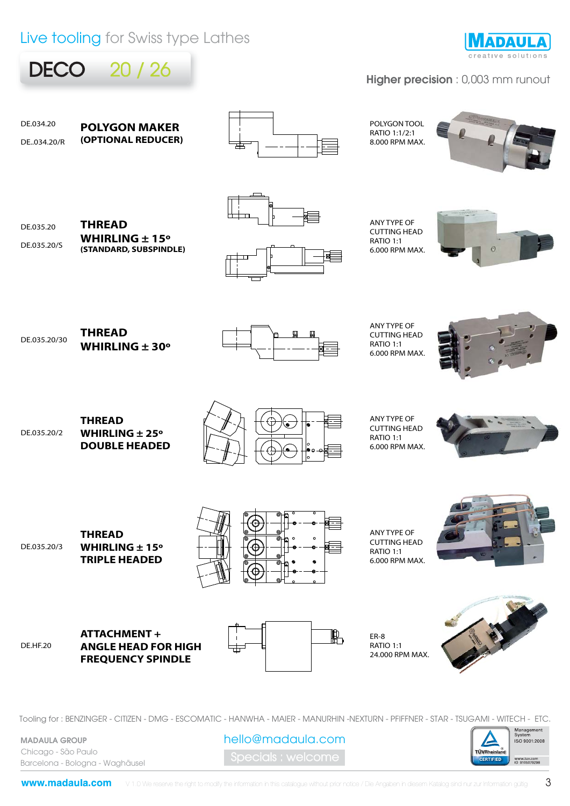DECO 20 / 26



#### Higher precision : 0,003 mm runout

DE.034.20 POLYGON TOOL **POLYGON MAKER** RATIO 1:1/2:1 **(OPTIONAL REDUCER)** DE..034.20/R 8.000 RPM MAX. ANY TYPE OF **THREAD** DE.035.20 CUTTING HEAD **WHIRLING ± 15º** RATIO 1:1 DE.035.20/S **(STANDARD, SUBSPINDLE)** 6.000 RPM MAX. ANY TYPE OF **THREAD** 四 ш CUTTING HEAD **WHIRLING ± 30º** RATIO 1:1 6.000 RPM MAX. ANY TYPE OF **THREAD** CUTTING HEAD DE.035.20/2 **WHIRLING ± 25º** RATIO 1:1 **DOUBLE HEADED** 6.000 RPM MAX. ANY TYPE OF **THREAD** CUTTING HEAD DE.035.20/3 **WHIRLING ± 15º** RATIO 1:1 **TRIPLE HEADED** 6.000 RPM MAX.



DE.035.20/30







DE.HF.20 **ATTACHMENT + ANGLE HEAD FOR HIGH FREQUENCY SPINDLE**



ER-8 RATIO 1:1 24.000 RPM MAX.



Tooling for : BENZINGER - CITIZEN - DMG - ESCOMATIC - HANWHA - MAIER - MANURHIN -NEXTURN - PFIFFNER - STAR - TSUGAMI - WITECH - ETC.

MADAULA GROUP Chicago - São Paulo Barcelona - Bologna - Waghäusel

pecials : welcome hello@madaula.com

Management<br>System ISO 9001:2008 TÜVRheinla CERTIFIED www.tuv.com<br>ID 9105079298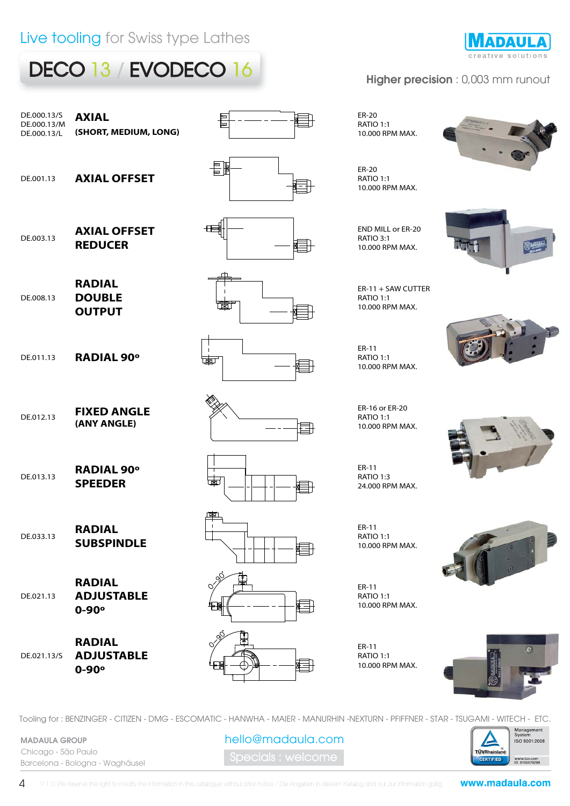DE.000.13/S

**AXIAL**

## DECO 13 / EVODECO 16

ЕÍ



#### Higher precision : 0,003 mm runout

| DE.000.13/M<br>DE.000.13/L | (SHORT, MEDIUM, LONG)                           |                      |
|----------------------------|-------------------------------------------------|----------------------|
| DE.001.13                  | <b>AXIAL OFFSET</b>                             | 目                    |
| DE.003.13                  | <b>AXIAL OFFSET</b><br><b>REDUCER</b>           |                      |
| DE.008.13                  | <b>RADIAL</b><br><b>DOUBLE</b><br><b>OUTPUT</b> | X                    |
| DE.011.13                  | <b>RADIAL 90°</b>                               | $\mathbf{I}$<br>ष्ठा |
| DE.012.13                  | <b>FIXED ANGLE</b><br>(ANY ANGLE)               |                      |
| DE.013.13                  | <b>RADIAL 90°</b><br><b>SPEEDER</b>             |                      |
| DE.033.13                  | <b>RADIAL</b><br><b>SUBSPINDLE</b>              | IJ<br>Ħ.             |
| DE.021.13                  | <b>RADIAL</b><br><b>ADJUSTABLE</b><br>$0 - 90°$ | 0100<br>Į            |
| DE.021.13/S                | <b>RADIAL</b><br><b>ADJUSTABLE</b><br>$0 - 90°$ | .oŠ<br>o.<br>X       |

ER-20 RATIO 1:1 10.000 RPM MAX.

ER-20 RATIO 1:1 10.000 RPM MAX.

1=n





ER-11 + SAW CUTTER RATIO 1:1 10.000 RPM MAX.

END MILL or ER-20 RATIO 3:1 10.000 RPM MAX.

ER-11 RATIO 1:1 10.000 RPM MAX.

ER-16 or ER-20 RATIO 1:1 10.000 RPM MAX.

ER-11 RATIO 1:3 24.000 RPM MAX.

ER-11 RATIO 1:1 10.000 RPM MAX.

ER-11 RATIO 1:1 10.000 RPM MAX.

ER-11 RATIO 1:1 10.000 RPM MAX.



Tooling for : BENZINGER - CITIZEN - DMG - ESCOMATIC - HANWHA - MAIER - MANURHIN -NEXTURN - PFIFFNER - STAR - TSUGAMI - WITECH - ETC.

MADAULA GROUP Chicago - São Paulo Barcelona - Bologna - Waghäusel

pecials : welcome hello@madaula.com

V 1.0 We reserve the right to modify the information in this catalogue without prior notice / Die Angaben in diesem Katalog sind nur zur Information gültig

www.madaula.com

TÜVRheinla CERTIFIED Management<br>System ISO 9001:2008

www.tuv.com<br>ID 9105079298

4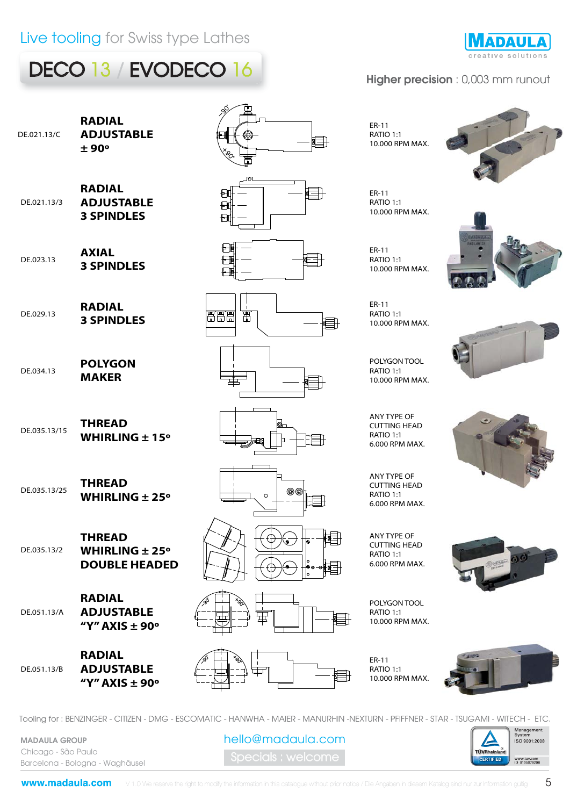

## **± 90º** DE.021.13/3 **RADIAL ADJUSTABLE 3 SPINDLES** DE.023.13 **AXIAL 3 SPINDLES**

**RADIAL**

**ADJUSTABLE**

DE.021.13/C

DE.029.13 **RADIAL 3 SPINDLES**

DE.034.13 **POLYGON MAKER**

DE.035.13/15 **THREAD WHIRLING ± 15º**

DE.035.13/25 **THREAD WHIRLING ± 25º**

DE.035.13/2 **THREAD WHIRLING ± 25º DOUBLE HEADED**

> **RADIAL ADJUSTABLE "Y" AXIS ± 90º**

DE.051.13/B **RADIAL ADJUSTABLE "Y" AXIS ± 90º**

DE.051.13/A

§





















ER-11 RATIO 1:1 10.000 RPM MAX.

ER-11 RATIO 1:1 10.000 RPM MAX.

ER-11 RATIO 1:1 10.000 RPM MAX.

POLYGON TOOL RATIO 1:1 10.000 RPM MAX.

ANY TYPE OF CUTTING HEAD RATIO 1:1 6.000 RPM MAX.

ANY TYPE OF CUTTING HEAD RATIO 1:1 6.000 RPM MAX.

ANY TYPE OF CUTTING HEAD RATIO 1:1 6.000 RPM MAX.

POLYGON TOOL RATIO 1:1 10.000 RPM MAX.

ER-11 RATIO 1:1 10.000 RPM MAX.













Tooling for : BENZINGER - CITIZEN - DMG - ESCOMATIC - HANWHA - MAIER - MANURHIN -NEXTURN - PFIFFNER - STAR - TSUGAMI - WITECH - ETC.

MADAULA GROUP Chicago - São Paulo Barcelona - Bologna - Waghäusel

pecials : welcome hello@madaula.com





## Higher precision : 0,003 mm runout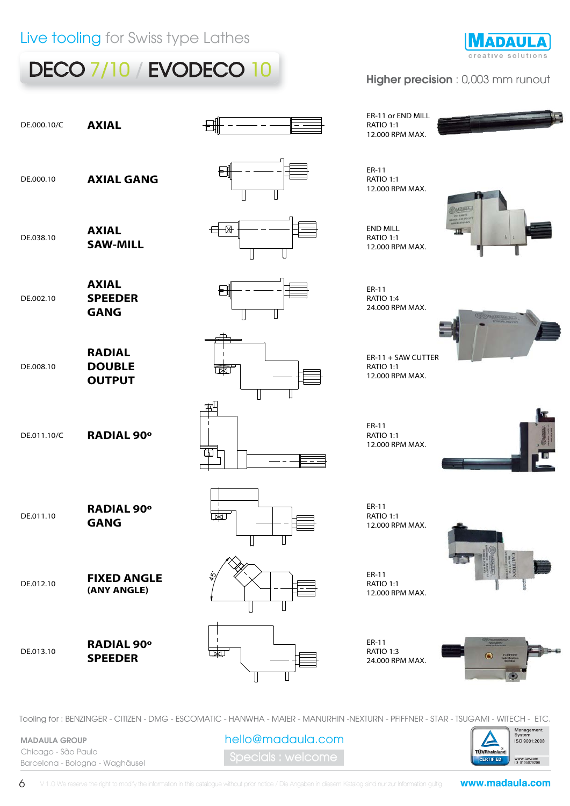## DECO 7/10 / EVODECO 10



### Higher precision : 0,003 mm runout



Tooling for : BENZINGER - CITIZEN - DMG - ESCOMATIC - HANWHA - MAIER - MANURHIN -NEXTURN - PFIFFNER - STAR - TSUGAMI - WITECH - ETC.

MADAULA GROUP Chicago - São Paulo Barcelona - Bologna - Waghäusel

pecials : welcome hello@madaula.com



6 V 1.0 We reserve the right to modify the information in this catalogue without prior notice / Die Angaben in diesem Katalog sind nur zur Information gültig

www.madaula.com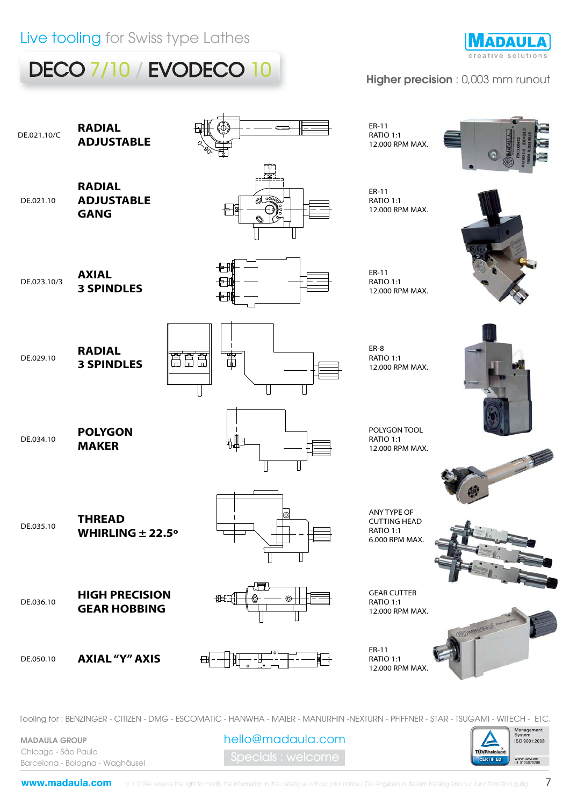

### Higher precision : 0,003 mm runout

**NADAULA** 



Tooling for : BENZINGER - CITIZEN - DMG - ESCOMATIC - HANWHA - MAIER - MANURHIN -NEXTURN - PFIFFNER - STAR - TSUGAMI - WITECH - ETC.

MADAULA GROUP Chicago - São Paulo Barcelona - Bologna - Waghäusel

pecials : welcome hello@madaula.com

Management<br>System **ISO 9001:2008** TÜVRheinia CERTIFIED www.tuv.com<br>ID 9105079298